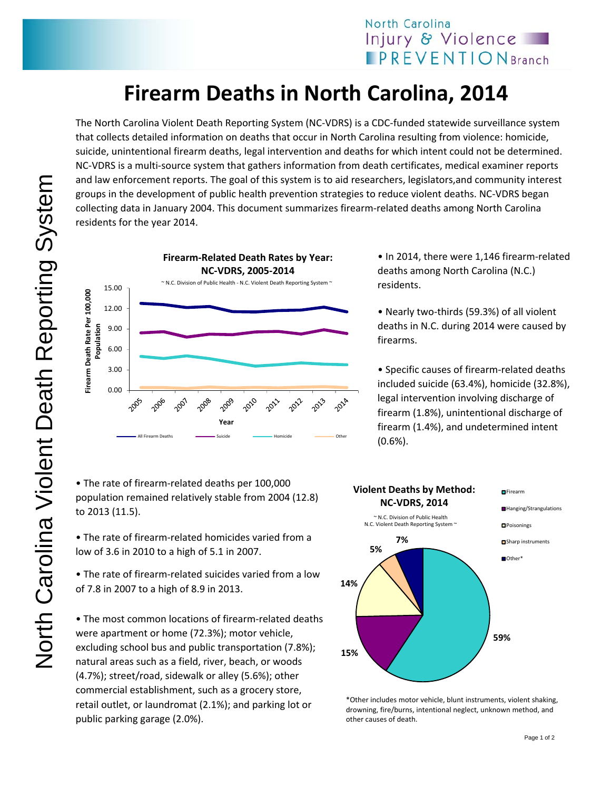## **Firearm Deaths in North Carolina, 2014**

The North Carolina Violent Death Reporting System (NC‐VDRS) is a CDC‐funded statewide surveillance system that collects detailed information on deaths that occur in North Carolina resulting from violence: homicide, suicide, unintentional firearm deaths, legal intervention and deaths for which intent could not be determined. NC‐VDRS is a multi‐source system that gathers information from death certificates, medical examiner reports and law enforcement reports. The goal of this system is to aid researchers, legislators,and community interest groups in the development of public health prevention strategies to reduce violent deaths. NC‐VDRS began collecting data in January 2004. This document summarizes firearm‐related deaths among North Carolina residents for the year 2014.



• The rate of firearm‐related deaths per 100,000 population remained relatively stable from 2004 (12.8) to 2013 (11.5).

• The rate of firearm‐related homicides varied from a low of 3.6 in 2010 to a high of 5.1 in 2007.

• The rate of firearm‐related suicides varied from a low of 7.8 in 2007 to a high of 8.9 in 2013.

• The most common locations of firearm‐related deaths were apartment or home (72.3%); motor vehicle, excluding school bus and public transportation (7.8%); natural areas such as a field, river, beach, or woods (4.7%); street/road, sidewalk or alley (5.6%); other commercial establishment, such as a grocery store, retail outlet, or laundromat (2.1%); and parking lot or public parking garage (2.0%).

• In 2014, there were 1,146 firearm‐related deaths among North Carolina (N.C.) residents.

• Nearly two‐thirds (59.3%) of all violent deaths in N.C. during 2014 were caused by firearms.

• Specific causes of firearm‐related deaths included suicide (63.4%), homicide (32.8%), legal intervention involving discharge of firearm (1.8%), unintentional discharge of firearm (1.4%), and undetermined intent  $(0.6\%)$ .



\*Other includes motor vehicle, blunt instruments, violent shaking, drowning, fire/burns, intentional neglect, unknown method, and other causes of death.